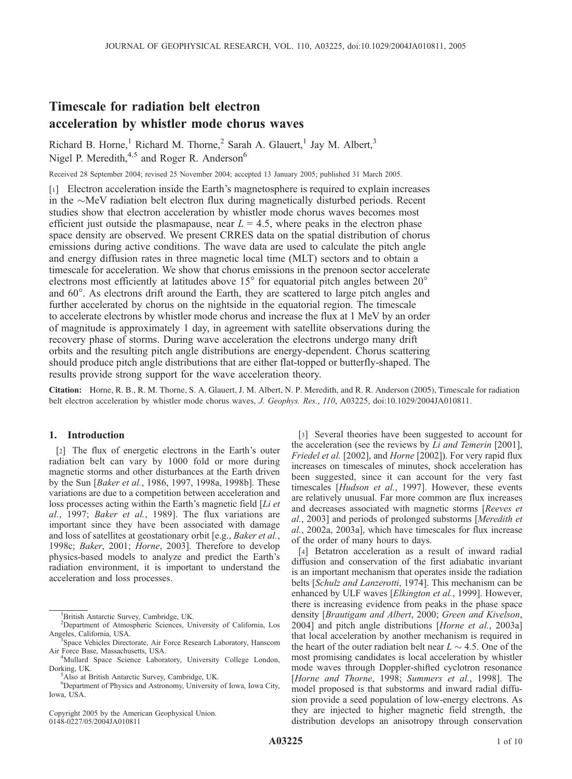# Timescale for radiation belt electron acceleration by whistler mode chorus waves

Richard B. Horne,<sup>1</sup> Richard M. Thorne,<sup>2</sup> Sarah A. Glauert,<sup>1</sup> Jay M. Albert,<sup>3</sup> Nigel P. Meredith, $4.5$  and Roger R. Anderson<sup>6</sup>

Received 28 September 2004; revised 25 November 2004; accepted 13 January 2005; published 31 March 2005.

[1] Electron acceleration inside the Earth's magnetosphere is required to explain increases in the  $\sim$ MeV radiation belt electron flux during magnetically disturbed periods. Recent studies show that electron acceleration by whistler mode chorus waves becomes most efficient just outside the plasmapause, near  $L = 4.5$ , where peaks in the electron phase space density are observed. We present CRRES data on the spatial distribution of chorus emissions during active conditions. The wave data are used to calculate the pitch angle and energy diffusion rates in three magnetic local time (MLT) sectors and to obtain a timescale for acceleration. We show that chorus emissions in the prenoon sector accelerate electrons most efficiently at latitudes above  $15^{\circ}$  for equatorial pitch angles between  $20^{\circ}$ and 60°. As electrons drift around the Earth, they are scattered to large pitch angles and further accelerated by chorus on the nightside in the equatorial region. The timescale to accelerate electrons by whistler mode chorus and increase the flux at 1 MeV by an order of magnitude is approximately 1 day, in agreement with satellite observations during the recovery phase of storms. During wave acceleration the electrons undergo many drift orbits and the resulting pitch angle distributions are energy-dependent. Chorus scattering should produce pitch angle distributions that are either flat-topped or butterfly-shaped. The results provide strong support for the wave acceleration theory.

Citation: Horne, R. B., R. M. Thorne, S. A. Glauert, J. M. Albert, N. P. Meredith, and R. R. Anderson (2005), Timescale for radiation belt electron acceleration by whistler mode chorus waves, J. Geophys. Res., 110, A03225, doi:10.1029/2004JA010811.

## 1. Introduction

[2] The flux of energetic electrons in the Earth's outer radiation belt can vary by 1000 fold or more during magnetic storms and other disturbances at the Earth driven by the Sun [Baker et al., 1986, 1997, 1998a, 1998b]. These variations are due to a competition between acceleration and loss processes acting within the Earth's magnetic field [Li et al., 1997; Baker et al., 1989]. The flux variations are important since they have been associated with damage and loss of satellites at geostationary orbit [e.g., Baker et al., 1998c; Baker, 2001; Horne, 2003]. Therefore to develop physics-based models to analyze and predict the Earth's radiation environment, it is important to understand the acceleration and loss processes.

Copyright 2005 by the American Geophysical Union. 0148-0227/05/2004JA010811

[3] Several theories have been suggested to account for the acceleration (see the reviews by Li and Temerin [2001], Friedel et al. [2002], and Horne [2002]). For very rapid flux increases on timescales of minutes, shock acceleration has been suggested, since it can account for the very fast timescales [Hudson et al., 1997]. However, these events are relatively unusual. Far more common are flux increases and decreases associated with magnetic storms [Reeves et al., 2003] and periods of prolonged substorms [Meredith et al., 2002a, 2003a], which have timescales for flux increase of the order of many hours to days.

[4] Betatron acceleration as a result of inward radial diffusion and conservation of the first adiabatic invariant is an important mechanism that operates inside the radiation belts [Schulz and Lanzerotti, 1974]. This mechanism can be enhanced by ULF waves [Elkington et al., 1999]. However, there is increasing evidence from peaks in the phase space density [Brautigam and Albert, 2000; Green and Kivelson, 2004] and pitch angle distributions [Horne et al., 2003a] that local acceleration by another mechanism is required in the heart of the outer radiation belt near  $L \sim 4.5$ . One of the most promising candidates is local acceleration by whistler mode waves through Doppler-shifted cyclotron resonance [Horne and Thorne, 1998; Summers et al., 1998]. The model proposed is that substorms and inward radial diffusion provide a seed population of low-energy electrons. As they are injected to higher magnetic field strength, the distribution develops an anisotropy through conservation

<sup>1</sup> British Antarctic Survey, Cambridge, UK.

<sup>2</sup> Department of Atmospheric Sciences, University of California, Los Angeles, California, USA. <sup>3</sup>

<sup>&</sup>lt;sup>3</sup>Space Vehicles Directorate, Air Force Research Laboratory, Hanscom Air Force Base, Massachusetts, USA. <sup>4</sup>

<sup>&</sup>lt;sup>4</sup>Mullard Space Science Laboratory, University College London, Dorking, UK. <sup>5</sup>

<sup>&</sup>lt;sup>5</sup>Also at British Antarctic Survey, Cambridge, UK.

<sup>6</sup> Department of Physics and Astronomy, University of Iowa, Iowa City, Iowa, USA.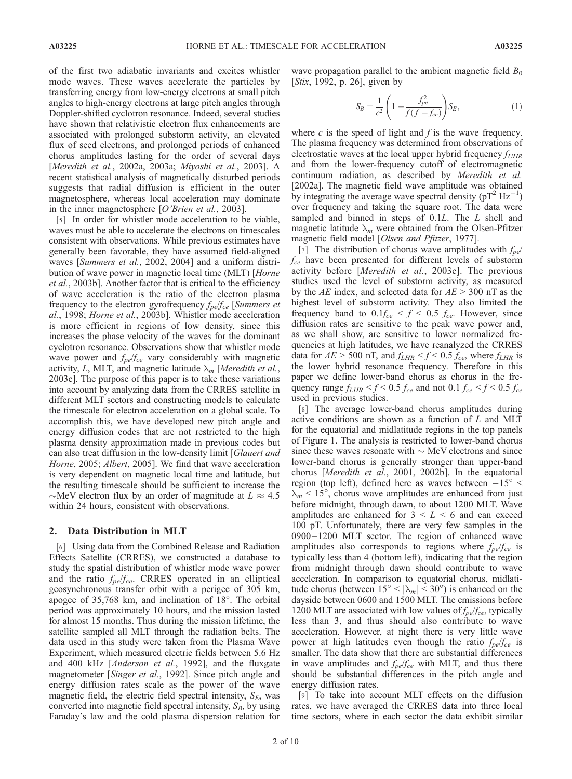of the first two adiabatic invariants and excites whistler mode waves. These waves accelerate the particles by transferring energy from low-energy electrons at small pitch angles to high-energy electrons at large pitch angles through Doppler-shifted cyclotron resonance. Indeed, several studies have shown that relativistic electron flux enhancements are associated with prolonged substorm activity, an elevated flux of seed electrons, and prolonged periods of enhanced chorus amplitudes lasting for the order of several days [Meredith et al., 2002a, 2003a; Miyoshi et al., 2003]. A recent statistical analysis of magnetically disturbed periods suggests that radial diffusion is efficient in the outer magnetosphere, whereas local acceleration may dominate in the inner magnetosphere [O'Brien et al., 2003].

[5] In order for whistler mode acceleration to be viable, waves must be able to accelerate the electrons on timescales consistent with observations. While previous estimates have generally been favorable, they have assumed field-aligned waves [Summers et al., 2002, 2004] and a uniform distribution of wave power in magnetic local time (MLT) [Horne et al., 2003b]. Another factor that is critical to the efficiency of wave acceleration is the ratio of the electron plasma frequency to the electron gyrofrequency  $f_{pe}/f_{ce}$  [Summers et al., 1998; Horne et al., 2003b]. Whistler mode acceleration is more efficient in regions of low density, since this increases the phase velocity of the waves for the dominant cyclotron resonance. Observations show that whistler mode wave power and  $f_{pe}/f_{ce}$  vary considerably with magnetic activity, L, MLT, and magnetic latitude  $\lambda_m$  [Meredith et al., 2003c]. The purpose of this paper is to take these variations into account by analyzing data from the CRRES satellite in different MLT sectors and constructing models to calculate the timescale for electron acceleration on a global scale. To accomplish this, we have developed new pitch angle and energy diffusion codes that are not restricted to the high plasma density approximation made in previous codes but can also treat diffusion in the low-density limit [Glauert and Horne, 2005; Albert, 2005]. We find that wave acceleration is very dependent on magnetic local time and latitude, but the resulting timescale should be sufficient to increase the  $\sim$ MeV electron flux by an order of magnitude at  $L \approx 4.5$ within 24 hours, consistent with observations.

## 2. Data Distribution in MLT

[6] Using data from the Combined Release and Radiation Effects Satellite (CRRES), we constructed a database to study the spatial distribution of whistler mode wave power and the ratio  $f_{pe}/f_{ce}$ . CRRES operated in an elliptical geosynchronous transfer orbit with a perigee of 305 km, apogee of  $35,768$  km, and inclination of  $18^\circ$ . The orbital period was approximately 10 hours, and the mission lasted for almost 15 months. Thus during the mission lifetime, the satellite sampled all MLT through the radiation belts. The data used in this study were taken from the Plasma Wave Experiment, which measured electric fields between 5.6 Hz and 400 kHz [Anderson et al., 1992], and the fluxgate magnetometer [Singer et al., 1992]. Since pitch angle and energy diffusion rates scale as the power of the wave magnetic field, the electric field spectral intensity,  $S_E$ , was converted into magnetic field spectral intensity,  $S_B$ , by using Faraday's law and the cold plasma dispersion relation for

wave propagation parallel to the ambient magnetic field  $B_0$ [*Stix*, 1992, p. 26], given by

$$
S_B = \frac{1}{c^2} \left( 1 - \frac{f_{pe}^2}{f(f - f_{ce})} \right) S_E,
$$
\n(1)

where  $c$  is the speed of light and  $f$  is the wave frequency. The plasma frequency was determined from observations of electrostatic waves at the local upper hybrid frequency  $f_{UHR}$ and from the lower-frequency cutoff of electromagnetic continuum radiation, as described by Meredith et al. [2002a]. The magnetic field wave amplitude was obtained by integrating the average wave spectral density ( $pT^2 Hz^{-1}$ ) over frequency and taking the square root. The data were sampled and binned in steps of 0.1L. The L shell and magnetic latitude  $\lambda_m$  were obtained from the Olsen-Pfitzer magnetic field model [Olsen and Pfitzer, 1977].

[7] The distribution of chorus wave amplitudes with  $f_{pe}$ /  $f_{ce}$  have been presented for different levels of substorm activity before [Meredith et al., 2003c]. The previous studies used the level of substorm activity, as measured by the AE index, and selected data for  $AE > 300$  nT as the highest level of substorm activity. They also limited the frequency band to  $0.1f_{ce} < f < 0.5 f_{ce}$ . However, since diffusion rates are sensitive to the peak wave power and, as we shall show, are sensitive to lower normalized frequencies at high latitudes, we have reanalyzed the CRRES data for  $AE > 500$  nT, and  $f_{LHR} < f < 0.5$   $f_{ce}$ , where  $f_{LHR}$  is the lower hybrid resonance frequency. Therefore in this paper we define lower-band chorus as chorus in the frequency range  $f_{LHR} < f < 0.5 f_{ce}$  and not 0.1  $f_{ce} < f < 0.5 f_{ce}$ used in previous studies.

[8] The average lower-band chorus amplitudes during active conditions are shown as a function of L and MLT for the equatorial and midlatitude regions in the top panels of Figure 1. The analysis is restricted to lower-band chorus since these waves resonate with  $\sim$  MeV electrons and since lower-band chorus is generally stronger than upper-band chorus [Meredith et al., 2001, 2002b]. In the equatorial region (top left), defined here as waves between  $-15^{\circ}$  <  $\lambda_m$  < 15°, chorus wave amplitudes are enhanced from just before midnight, through dawn, to about 1200 MLT. Wave amplitudes are enhanced for  $3 \leq L \leq 6$  and can exceed 100 pT. Unfortunately, there are very few samples in the 0900 – 1200 MLT sector. The region of enhanced wave amplitudes also corresponds to regions where  $f_{pe}/f_{ce}$  is typically less than 4 (bottom left), indicating that the region from midnight through dawn should contribute to wave acceleration. In comparison to equatorial chorus, midlatitude chorus (between  $15^{\circ} < |\lambda_m| < 30^{\circ}$ ) is enhanced on the dayside between 0600 and 1500 MLT. The emissions before 1200 MLT are associated with low values of  $f_{pe}/f_{ce}$ , typically less than 3, and thus should also contribute to wave acceleration. However, at night there is very little wave power at high latitudes even though the ratio  $f_{pe}/f_{ce}$  is smaller. The data show that there are substantial differences in wave amplitudes and  $f_{pe}/f_{ce}$  with MLT, and thus there should be substantial differences in the pitch angle and energy diffusion rates.

[9] To take into account MLT effects on the diffusion rates, we have averaged the CRRES data into three local time sectors, where in each sector the data exhibit similar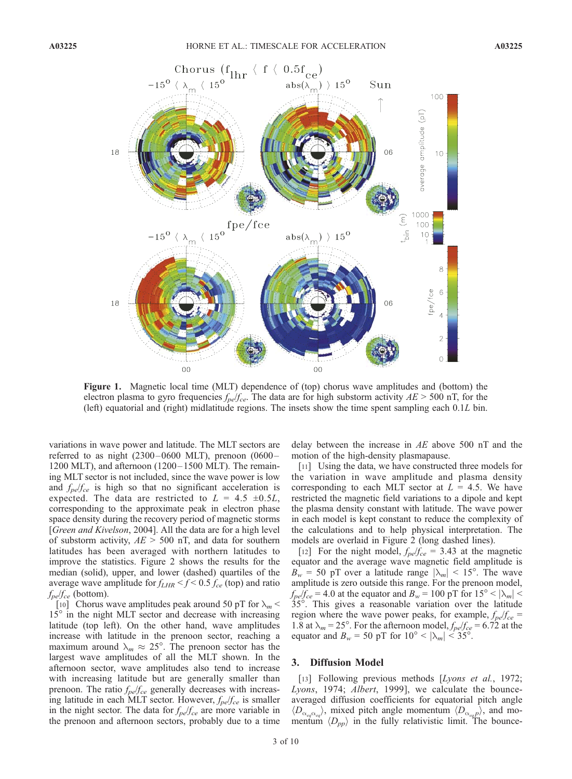

Figure 1. Magnetic local time (MLT) dependence of (top) chorus wave amplitudes and (bottom) the electron plasma to gyro frequencies  $f_{pe}/f_{ce}$ . The data are for high substorm activity  $AE > 500$  nT, for the (left) equatorial and (right) midlatitude regions. The insets show the time spent sampling each 0.1L bin.

variations in wave power and latitude. The MLT sectors are referred to as night  $(2300-0600 \text{ MLT})$ , prenoon  $(0600-$ 1200 MLT), and afternoon  $(1200-1500$  MLT). The remaining MLT sector is not included, since the wave power is low and  $f_{pe}/f_{ce}$  is high so that no significant acceleration is expected. The data are restricted to  $L = 4.5 \pm 0.5L$ , corresponding to the approximate peak in electron phase space density during the recovery period of magnetic storms [Green and Kivelson, 2004]. All the data are for a high level of substorm activity,  $AE > 500$  nT, and data for southern latitudes has been averaged with northern latitudes to improve the statistics. Figure 2 shows the results for the median (solid), upper, and lower (dashed) quartiles of the average wave amplitude for  $f_{LHR} < f < 0.5 f_{ce}$  (top) and ratio  $f_{pe}/f_{ce}$  (bottom).

[10] Chorus wave amplitudes peak around 50 pT for  $\lambda_m$  <  $15^\circ$  in the night MLT sector and decrease with increasing latitude (top left). On the other hand, wave amplitudes increase with latitude in the prenoon sector, reaching a maximum around  $\lambda_m \approx 25^\circ$ . The prenoon sector has the largest wave amplitudes of all the MLT shown. In the afternoon sector, wave amplitudes also tend to increase with increasing latitude but are generally smaller than prenoon. The ratio  $f_{pe}/f_{ce}$  generally decreases with increasing latitude in each MLT sector. However,  $f_{pe}/f_{ce}$  is smaller in the night sector. The data for  $f_{pe}/f_{ce}$  are more variable in the prenoon and afternoon sectors, probably due to a time delay between the increase in  $AE$  above 500 nT and the motion of the high-density plasmapause.

[11] Using the data, we have constructed three models for the variation in wave amplitude and plasma density corresponding to each MLT sector at  $L = 4.5$ . We have restricted the magnetic field variations to a dipole and kept the plasma density constant with latitude. The wave power in each model is kept constant to reduce the complexity of the calculations and to help physical interpretation. The models are overlaid in Figure 2 (long dashed lines).

[12] For the night model,  $f_{pe}/f_{ce} = 3.43$  at the magnetic equator and the average wave magnetic field amplitude is  $B_w = 50$  pT over a latitude range  $|\lambda_m|$  < 15°. The wave amplitude is zero outside this range. For the prenoon model,  $f_{pe}/f_{ce} = 4.0$  at the equator and  $B_w = 100$  pT for  $15^{\circ} < |\lambda_m|$ 35. This gives a reasonable variation over the latitude region where the wave power peaks, for example,  $f_{pe}/f_{ce}$  = 1.8 at  $\lambda_m = 25^\circ$ . For the afternoon model,  $f_{pe}/f_{ce} = 6.72$  at the equator and  $B_w = 50$  pT for  $10^{\circ} < |\lambda_m| < 35^{\circ}$ .

### 3. Diffusion Model

[13] Following previous methods [*Lyons et al.*, 1972; Lyons, 1974; Albert, 1999], we calculate the bounceaveraged diffusion coefficients for equatorial pitch angle  $\langle D_{\alpha_{eq}\alpha_{eq}}\rangle$ , mixed pitch angle momentum  $\langle D_{\alpha_{eq}p}\rangle$ , and momentum  $\langle D_{pp} \rangle$  in the fully relativistic limit. The bounce-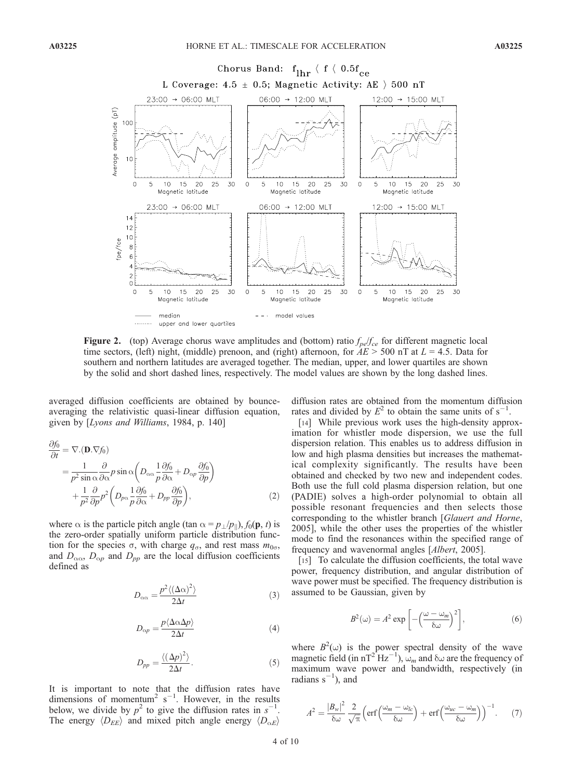

**Figure 2.** (top) Average chorus wave amplitudes and (bottom) ratio  $f_{pe}/f_{ce}$  for different magnetic local time sectors, (left) night, (middle) prenoon, and (right) afternoon, for  $AE > 500$  nT at  $L = 4.5$ . Data for southern and northern latitudes are averaged together. The median, upper, and lower quartiles are shown by the solid and short dashed lines, respectively. The model values are shown by the long dashed lines.

averaged diffusion coefficients are obtained by bounceaveraging the relativistic quasi-linear diffusion equation, given by [Lyons and Williams, 1984, p. 140]

$$
\frac{\partial f_0}{\partial t} = \nabla \cdot (\mathbf{D} \cdot \nabla f_0)
$$
\n
$$
= \frac{1}{p^2 \sin \alpha} \frac{\partial}{\partial \alpha} p \sin \alpha \left( D_{\alpha\alpha} \frac{1}{p} \frac{\partial f_0}{\partial \alpha} + D_{\alpha p} \frac{\partial f_0}{\partial p} \right)
$$
\n
$$
+ \frac{1}{p^2} \frac{\partial}{\partial p} p^2 \left( D_{p\alpha} \frac{1}{p} \frac{\partial f_0}{\partial \alpha} + D_{pp} \frac{\partial f_0}{\partial p} \right), \tag{2}
$$

where  $\alpha$  is the particle pitch angle (tan  $\alpha = p_1/p_1$ ),  $f_0(\mathbf{p}, t)$  is the zero-order spatially uniform particle distribution function for the species  $\sigma$ , with charge  $q_{\sigma}$ , and rest mass  $m_{0\sigma}$ , and  $D_{\alpha\alpha}$ ,  $D_{\alpha p}$  and  $D_{pp}$  are the local diffusion coefficients defined as

$$
D_{\alpha\alpha} = \frac{p^2 \langle (\Delta\alpha)^2 \rangle}{2\Delta t} \tag{3}
$$

$$
D_{\alpha p} = \frac{p \langle \Delta \alpha \Delta p \rangle}{2\Delta t} \tag{4}
$$

$$
D_{pp} = \frac{\langle (\Delta p)^2 \rangle}{2\Delta t}.
$$
 (5)

It is important to note that the diffusion rates have dimensions of momentum<sup>2</sup>  $s^{-1}$ . However, in the results below, we divide by  $p^2$  to give the diffusion rates in  $s^{-1}$ . The energy  $\langle D_{EE} \rangle$  and mixed pitch angle energy  $\langle D_{\alpha E} \rangle$ 

diffusion rates are obtained from the momentum diffusion rates and divided by  $E^2$  to obtain the same units of  $s^{-1}$ .

[14] While previous work uses the high-density approximation for whistler mode dispersion, we use the full dispersion relation. This enables us to address diffusion in low and high plasma densities but increases the mathematical complexity significantly. The results have been obtained and checked by two new and independent codes. Both use the full cold plasma dispersion relation, but one (PADIE) solves a high-order polynomial to obtain all possible resonant frequencies and then selects those corresponding to the whistler branch [Glauert and Horne, 2005], while the other uses the properties of the whistler mode to find the resonances within the specified range of frequency and wavenormal angles [Albert, 2005].

[15] To calculate the diffusion coefficients, the total wave power, frequency distribution, and angular distribution of wave power must be specified. The frequency distribution is assumed to be Gaussian, given by

$$
B^{2}(\omega) = A^{2} \exp \left[ -\left(\frac{\omega - \omega_{m}}{\delta \omega}\right)^{2} \right],
$$
 (6)

where  $B^2(\omega)$  is the power spectral density of the wave magnetic field (in  $nT^2 Hz^{-1}$ ),  $\omega_m$  and  $\delta \omega$  are the frequency of maximum wave power and bandwidth, respectively (in radians  $s^{-1}$ ), and

$$
A^{2} = \frac{|B_{w}|^{2}}{\delta \omega} \frac{2}{\sqrt{\pi}} \left( \text{erf}\left(\frac{\omega_{m} - \omega_{lc}}{\delta \omega}\right) + \text{erf}\left(\frac{\omega_{uc} - \omega_{m}}{\delta \omega}\right) \right)^{-1}.
$$
 (7)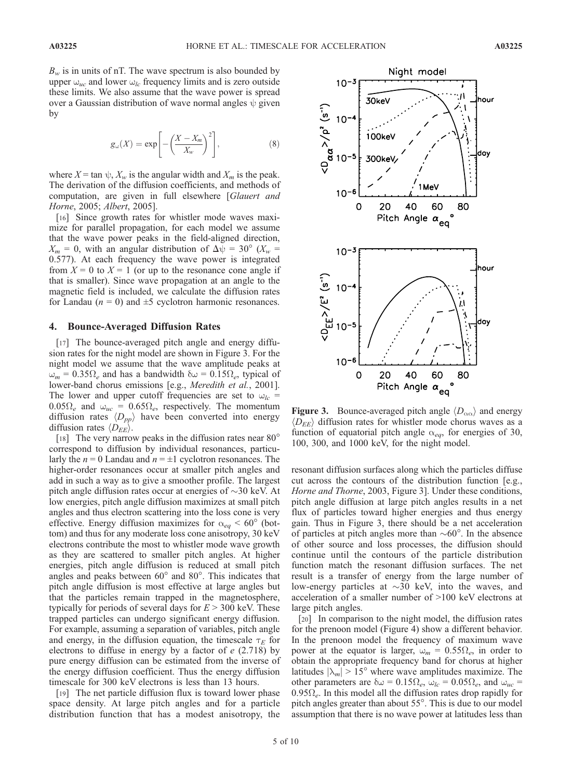$B_w$  is in units of nT. The wave spectrum is also bounded by upper  $\omega_{uc}$  and lower  $\omega_{lc}$  frequency limits and is zero outside these limits. We also assume that the wave power is spread over a Gaussian distribution of wave normal angles  $\psi$  given by

$$
g_{\omega}(X) = \exp\left[-\left(\frac{X - X_m}{X_w}\right)^2\right],\tag{8}
$$

where  $X = \tan \psi$ ,  $X_w$  is the angular width and  $X_m$  is the peak. The derivation of the diffusion coefficients, and methods of computation, are given in full elsewhere [Glauert and Horne, 2005; Albert, 2005].

[16] Since growth rates for whistler mode waves maximize for parallel propagation, for each model we assume that the wave power peaks in the field-aligned direction,  $X_m = 0$ , with an angular distribution of  $\Delta \psi = 30^\circ$  ( $X_w =$ 0.577). At each frequency the wave power is integrated from  $X = 0$  to  $X = 1$  (or up to the resonance cone angle if that is smaller). Since wave propagation at an angle to the magnetic field is included, we calculate the diffusion rates for Landau ( $n = 0$ ) and  $\pm 5$  cyclotron harmonic resonances.

#### 4. Bounce-Averaged Diffusion Rates

[17] The bounce-averaged pitch angle and energy diffusion rates for the night model are shown in Figure 3. For the night model we assume that the wave amplitude peaks at  $\omega_m = 0.35\Omega_e$  and has a bandwidth  $\delta\omega = 0.15\Omega_e$ , typical of lower-band chorus emissions [e.g., Meredith et al., 2001]. The lower and upper cutoff frequencies are set to  $\omega_{lc}$  =  $0.05\Omega_e$  and  $\omega_{uc} = 0.65\Omega_e$ , respectively. The momentum diffusion rates  $\langle D_{pp} \rangle$  have been converted into energy diffusion rates  $\langle D_{EE} \rangle$ .

[18] The very narrow peaks in the diffusion rates near  $80^{\circ}$ correspond to diffusion by individual resonances, particularly the  $n = 0$  Landau and  $n = \pm 1$  cyclotron resonances. The higher-order resonances occur at smaller pitch angles and add in such a way as to give a smoother profile. The largest pitch angle diffusion rates occur at energies of  $\sim$ 30 keV. At low energies, pitch angle diffusion maximizes at small pitch angles and thus electron scattering into the loss cone is very effective. Energy diffusion maximizes for  $\alpha_{eq} < 60^\circ$  (bottom) and thus for any moderate loss cone anisotropy, 30 keV electrons contribute the most to whistler mode wave growth as they are scattered to smaller pitch angles. At higher energies, pitch angle diffusion is reduced at small pitch angles and peaks between  $60^{\circ}$  and  $80^{\circ}$ . This indicates that pitch angle diffusion is most effective at large angles but that the particles remain trapped in the magnetosphere, typically for periods of several days for  $E > 300$  keV. These trapped particles can undergo significant energy diffusion. For example, assuming a separation of variables, pitch angle and energy, in the diffusion equation, the timescale  $\tau_E$  for electrons to diffuse in energy by a factor of  $e(2.718)$  by pure energy diffusion can be estimated from the inverse of the energy diffusion coefficient. Thus the energy diffusion timescale for 300 keV electrons is less than 13 hours.

[19] The net particle diffusion flux is toward lower phase space density. At large pitch angles and for a particle distribution function that has a modest anisotropy, the



**Figure 3.** Bounce-averaged pitch angle  $\langle D_{\alpha\alpha} \rangle$  and energy  $\langle D_{EE} \rangle$  diffusion rates for whistler mode chorus waves as a function of equatorial pitch angle  $\alpha_{eq}$ , for energies of 30, 100, 300, and 1000 keV, for the night model.

resonant diffusion surfaces along which the particles diffuse cut across the contours of the distribution function [e.g., Horne and Thorne, 2003, Figure 3]. Under these conditions, pitch angle diffusion at large pitch angles results in a net flux of particles toward higher energies and thus energy gain. Thus in Figure 3, there should be a net acceleration of particles at pitch angles more than  $\sim 60^\circ$ . In the absence of other source and loss processes, the diffusion should continue until the contours of the particle distribution function match the resonant diffusion surfaces. The net result is a transfer of energy from the large number of low-energy particles at  $\sim$ 30 keV, into the waves, and acceleration of a smaller number of >100 keV electrons at large pitch angles.

[20] In comparison to the night model, the diffusion rates for the prenoon model (Figure 4) show a different behavior. In the prenoon model the frequency of maximum wave power at the equator is larger,  $\omega_m = 0.55\Omega_e$ , in order to obtain the appropriate frequency band for chorus at higher latitudes  $|\lambda_m| > 15^\circ$  where wave amplitudes maximize. The other parameters are  $\delta \omega = 0.15 \Omega_e$ ,  $\omega_{lc} = 0.05 \Omega_e$ , and  $\omega_{uc} =$  $0.95\Omega_e$ . In this model all the diffusion rates drop rapidly for pitch angles greater than about  $55^\circ$ . This is due to our model assumption that there is no wave power at latitudes less than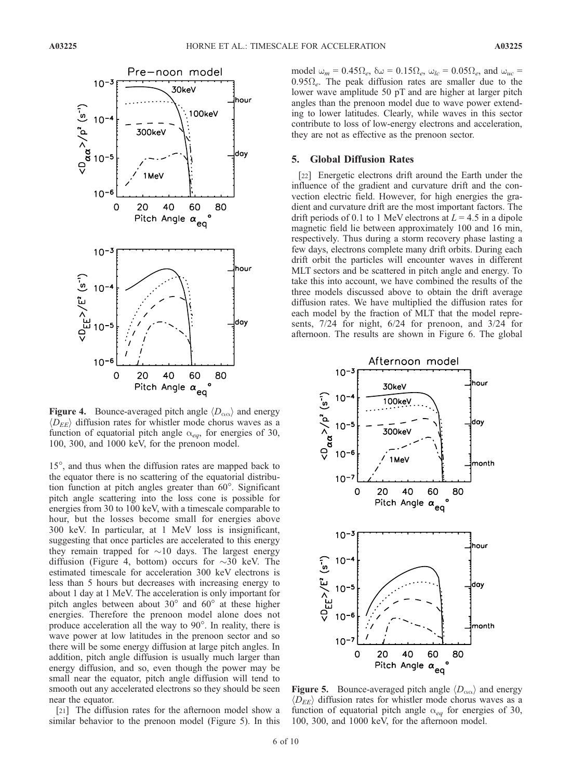

**Figure 4.** Bounce-averaged pitch angle  $\langle D_{\alpha\alpha} \rangle$  and energy  $\langle D_{EE} \rangle$  diffusion rates for whistler mode chorus waves as a function of equatorial pitch angle  $\alpha_{eq}$ , for energies of 30, 100, 300, and 1000 keV, for the prenoon model.

15°, and thus when the diffusion rates are mapped back to the equator there is no scattering of the equatorial distribution function at pitch angles greater than  $60^\circ$ . Significant pitch angle scattering into the loss cone is possible for energies from 30 to 100 keV, with a timescale comparable to hour, but the losses become small for energies above 300 keV. In particular, at 1 MeV loss is insignificant, suggesting that once particles are accelerated to this energy they remain trapped for  $\sim$ 10 days. The largest energy diffusion (Figure 4, bottom) occurs for  $\sim$ 30 keV. The estimated timescale for acceleration 300 keV electrons is less than 5 hours but decreases with increasing energy to about 1 day at 1 MeV. The acceleration is only important for pitch angles between about  $30^{\circ}$  and  $60^{\circ}$  at these higher energies. Therefore the prenoon model alone does not produce acceleration all the way to  $90^\circ$ . In reality, there is wave power at low latitudes in the prenoon sector and so there will be some energy diffusion at large pitch angles. In addition, pitch angle diffusion is usually much larger than energy diffusion, and so, even though the power may be small near the equator, pitch angle diffusion will tend to smooth out any accelerated electrons so they should be seen near the equator.

[21] The diffusion rates for the afternoon model show a similar behavior to the prenoon model (Figure 5). In this model  $\omega_m = 0.45\Omega_e$ ,  $\delta\omega = 0.15\Omega_e$ ,  $\omega_{lc} = 0.05\Omega_e$ , and  $\omega_{uc} =$  $0.95\Omega_e$ . The peak diffusion rates are smaller due to the lower wave amplitude 50 pT and are higher at larger pitch angles than the prenoon model due to wave power extending to lower latitudes. Clearly, while waves in this sector contribute to loss of low-energy electrons and acceleration, they are not as effective as the prenoon sector.

#### 5. Global Diffusion Rates

[22] Energetic electrons drift around the Earth under the influence of the gradient and curvature drift and the convection electric field. However, for high energies the gradient and curvature drift are the most important factors. The drift periods of 0.1 to 1 MeV electrons at  $L = 4.5$  in a dipole magnetic field lie between approximately 100 and 16 min, respectively. Thus during a storm recovery phase lasting a few days, electrons complete many drift orbits. During each drift orbit the particles will encounter waves in different MLT sectors and be scattered in pitch angle and energy. To take this into account, we have combined the results of the three models discussed above to obtain the drift average diffusion rates. We have multiplied the diffusion rates for each model by the fraction of MLT that the model represents, 7/24 for night, 6/24 for prenoon, and 3/24 for afternoon. The results are shown in Figure 6. The global



Figure 5. Bounce-averaged pitch angle  $\langle D_{\alpha\alpha} \rangle$  and energy  $\langle D_{EE} \rangle$  diffusion rates for whistler mode chorus waves as a function of equatorial pitch angle  $\alpha_{eq}$  for energies of 30, 100, 300, and 1000 keV, for the afternoon model.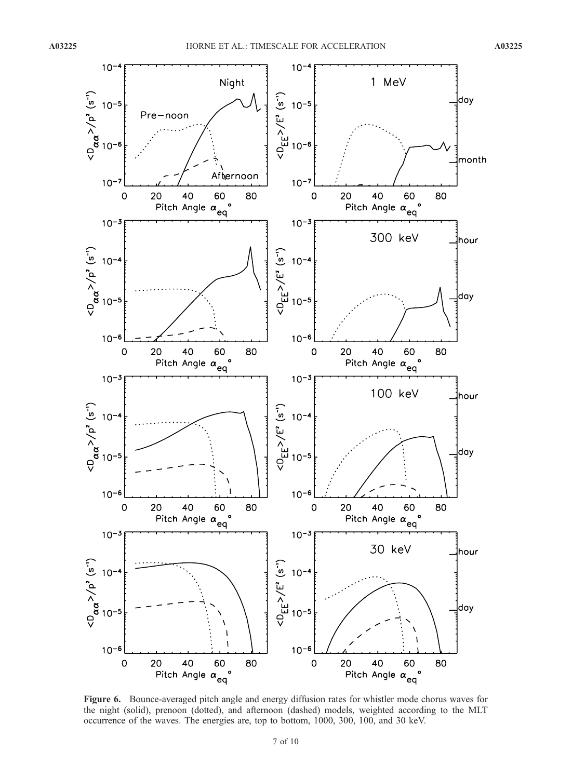

Figure 6. Bounce-averaged pitch angle and energy diffusion rates for whistler mode chorus waves for the night (solid), prenoon (dotted), and afternoon (dashed) models, weighted according to the MLT occurrence of the waves. The energies are, top to bottom, 1000, 300, 100, and 30 keV.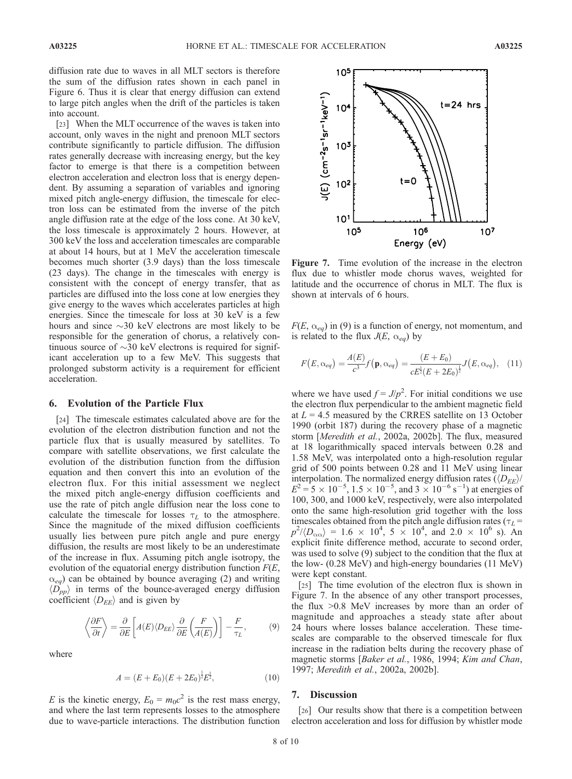diffusion rate due to waves in all MLT sectors is therefore the sum of the diffusion rates shown in each panel in Figure 6. Thus it is clear that energy diffusion can extend to large pitch angles when the drift of the particles is taken into account.

[23] When the MLT occurrence of the waves is taken into account, only waves in the night and prenoon MLT sectors contribute significantly to particle diffusion. The diffusion rates generally decrease with increasing energy, but the key factor to emerge is that there is a competition between electron acceleration and electron loss that is energy dependent. By assuming a separation of variables and ignoring mixed pitch angle-energy diffusion, the timescale for electron loss can be estimated from the inverse of the pitch angle diffusion rate at the edge of the loss cone. At 30 keV, the loss timescale is approximately 2 hours. However, at 300 keV the loss and acceleration timescales are comparable at about 14 hours, but at 1 MeV the acceleration timescale becomes much shorter (3.9 days) than the loss timescale (23 days). The change in the timescales with energy is consistent with the concept of energy transfer, that as particles are diffused into the loss cone at low energies they give energy to the waves which accelerates particles at high energies. Since the timescale for loss at 30 keV is a few hours and since  $\sim$ 30 keV electrons are most likely to be responsible for the generation of chorus, a relatively continuous source of  $\sim$ 30 keV electrons is required for significant acceleration up to a few MeV. This suggests that prolonged substorm activity is a requirement for efficient acceleration.

# 6. Evolution of the Particle Flux

[24] The timescale estimates calculated above are for the evolution of the electron distribution function and not the particle flux that is usually measured by satellites. To compare with satellite observations, we first calculate the evolution of the distribution function from the diffusion equation and then convert this into an evolution of the electron flux. For this initial assessment we neglect the mixed pitch angle-energy diffusion coefficients and use the rate of pitch angle diffusion near the loss cone to calculate the timescale for losses  $\tau_L$  to the atmosphere. Since the magnitude of the mixed diffusion coefficients usually lies between pure pitch angle and pure energy diffusion, the results are most likely to be an underestimate of the increase in flux. Assuming pitch angle isotropy, the evolution of the equatorial energy distribution function  $F(E,$  $\alpha_{eq}$ ) can be obtained by bounce averaging (2) and writing  $\langle D_{pp} \rangle$  in terms of the bounce-averaged energy diffusion coefficient  $\langle D_{EE} \rangle$  and is given by

$$
\left\langle \frac{\partial F}{\partial t} \right\rangle = \frac{\partial}{\partial E} \left[ A(E) \langle D_{EE} \rangle \frac{\partial}{\partial E} \left( \frac{F}{A(E)} \right) \right] - \frac{F}{\tau_L}, \tag{9}
$$

where

$$
A = (E + E_0)(E + 2E_0)^{\frac{1}{2}}E^{\frac{1}{2}},\tag{10}
$$

E is the kinetic energy,  $E_0 = m_0 c^2$  is the rest mass energy, and where the last term represents losses to the atmosphere due to wave-particle interactions. The distribution function



Figure 7. Time evolution of the increase in the electron flux due to whistler mode chorus waves, weighted for latitude and the occurrence of chorus in MLT. The flux is shown at intervals of 6 hours.

 $F(E, \alpha_{eq})$  in (9) is a function of energy, not momentum, and is related to the flux  $J(E, \alpha_{eq})$  by

$$
F(E, \alpha_{eq}) = \frac{A(E)}{c^3} f(\mathbf{p}, \alpha_{eq}) = \frac{(E + E_0)}{c E^{\frac{1}{2}} (E + 2E_0)^{\frac{1}{2}}} J(E, \alpha_{eq}), \quad (11)
$$

where we have used  $f = J/p^2$ . For initial conditions we use the electron flux perpendicular to the ambient magnetic field at  $L = 4.5$  measured by the CRRES satellite on 13 October 1990 (orbit 187) during the recovery phase of a magnetic storm [Meredith et al., 2002a, 2002b]. The flux, measured at 18 logarithmically spaced intervals between 0.28 and 1.58 MeV, was interpolated onto a high-resolution regular grid of 500 points between 0.28 and 11 MeV using linear interpolation. The normalized energy diffusion rates  $(\langle D_{EE} \rangle /$  $E^2 = 5 \times 10^{-5}$ ,  $1.5 \times 10^{-5}$ , and  $3 \times 10^{-6}$  s<sup>-1</sup>) at energies of 100, 300, and 1000 keV, respectively, were also interpolated onto the same high-resolution grid together with the loss timescales obtained from the pitch angle diffusion rates ( $\tau_L$  =  $p^2/\langle D_{\alpha\alpha}\rangle = 1.6 \times 10^4$ ,  $5 \times 10^4$ , and  $2.0 \times 10^6$  s). An explicit finite difference method, accurate to second order, was used to solve (9) subject to the condition that the flux at the low- (0.28 MeV) and high-energy boundaries (11 MeV) were kept constant.

[25] The time evolution of the electron flux is shown in Figure 7. In the absence of any other transport processes, the flux >0.8 MeV increases by more than an order of magnitude and approaches a steady state after about 24 hours where losses balance acceleration. These timescales are comparable to the observed timescale for flux increase in the radiation belts during the recovery phase of magnetic storms [Baker et al., 1986, 1994; Kim and Chan, 1997; Meredith et al., 2002a, 2002b].

# 7. Discussion

[26] Our results show that there is a competition between electron acceleration and loss for diffusion by whistler mode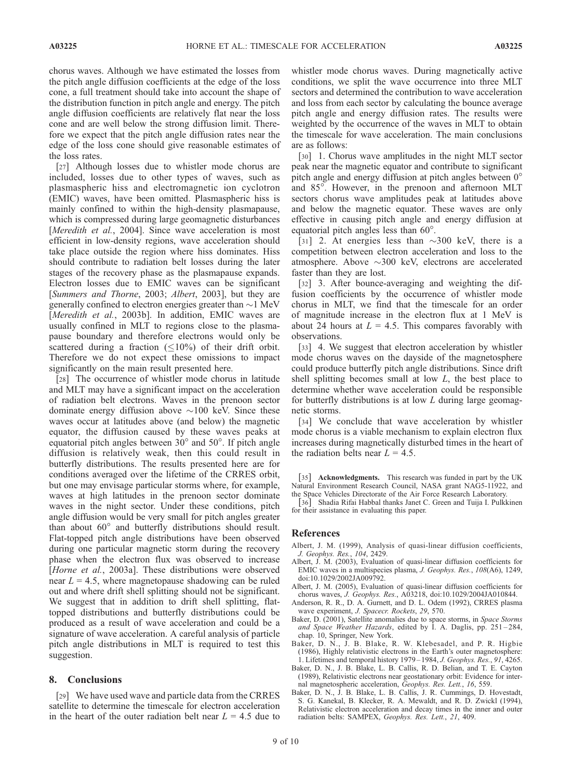chorus waves. Although we have estimated the losses from the pitch angle diffusion coefficients at the edge of the loss cone, a full treatment should take into account the shape of the distribution function in pitch angle and energy. The pitch angle diffusion coefficients are relatively flat near the loss cone and are well below the strong diffusion limit. Therefore we expect that the pitch angle diffusion rates near the edge of the loss cone should give reasonable estimates of the loss rates.

[27] Although losses due to whistler mode chorus are included, losses due to other types of waves, such as plasmaspheric hiss and electromagnetic ion cyclotron (EMIC) waves, have been omitted. Plasmaspheric hiss is mainly confined to within the high-density plasmapause, which is compressed during large geomagnetic disturbances [Meredith et al., 2004]. Since wave acceleration is most efficient in low-density regions, wave acceleration should take place outside the region where hiss dominates. Hiss should contribute to radiation belt losses during the later stages of the recovery phase as the plasmapause expands. Electron losses due to EMIC waves can be significant [Summers and Thorne, 2003; Albert, 2003], but they are generally confined to electron energies greater than  $\sim$  1 MeV [Meredith et al., 2003b]. In addition, EMIC waves are usually confined in MLT to regions close to the plasmapause boundary and therefore electrons would only be scattered during a fraction  $(\leq 10\%)$  of their drift orbit. Therefore we do not expect these omissions to impact significantly on the main result presented here.

[28] The occurrence of whistler mode chorus in latitude and MLT may have a significant impact on the acceleration of radiation belt electrons. Waves in the prenoon sector dominate energy diffusion above  $\sim$ 100 keV. Since these waves occur at latitudes above (and below) the magnetic equator, the diffusion caused by these waves peaks at equatorial pitch angles between  $30^{\circ}$  and  $50^{\circ}$ . If pitch angle diffusion is relatively weak, then this could result in butterfly distributions. The results presented here are for conditions averaged over the lifetime of the CRRES orbit, but one may envisage particular storms where, for example, waves at high latitudes in the prenoon sector dominate waves in the night sector. Under these conditions, pitch angle diffusion would be very small for pitch angles greater than about  $60^\circ$  and butterfly distributions should result. Flat-topped pitch angle distributions have been observed during one particular magnetic storm during the recovery phase when the electron flux was observed to increase [Horne et al., 2003a]. These distributions were observed near  $L = 4.5$ , where magnetopause shadowing can be ruled out and where drift shell splitting should not be significant. We suggest that in addition to drift shell splitting, flattopped distributions and butterfly distributions could be produced as a result of wave acceleration and could be a signature of wave acceleration. A careful analysis of particle pitch angle distributions in MLT is required to test this suggestion.

#### 8. Conclusions

[29] We have used wave and particle data from the CRRES satellite to determine the timescale for electron acceleration in the heart of the outer radiation belt near  $L = 4.5$  due to

whistler mode chorus waves. During magnetically active conditions, we split the wave occurrence into three MLT sectors and determined the contribution to wave acceleration and loss from each sector by calculating the bounce average pitch angle and energy diffusion rates. The results were weighted by the occurrence of the waves in MLT to obtain the timescale for wave acceleration. The main conclusions are as follows:

[30] 1. Chorus wave amplitudes in the night MLT sector peak near the magnetic equator and contribute to significant pitch angle and energy diffusion at pitch angles between 0 and 85<sup>°</sup>. However, in the prenoon and afternoon MLT sectors chorus wave amplitudes peak at latitudes above and below the magnetic equator. These waves are only effective in causing pitch angle and energy diffusion at equatorial pitch angles less than  $60^\circ$ .

[31] 2. At energies less than  $\sim$ 300 keV, there is a competition between electron acceleration and loss to the atmosphere. Above  $\sim$ 300 keV, electrons are accelerated faster than they are lost.

[32] 3. After bounce-averaging and weighting the diffusion coefficients by the occurrence of whistler mode chorus in MLT, we find that the timescale for an order of magnitude increase in the electron flux at 1 MeV is about 24 hours at  $L = 4.5$ . This compares favorably with observations.

[33] 4. We suggest that electron acceleration by whistler mode chorus waves on the dayside of the magnetosphere could produce butterfly pitch angle distributions. Since drift shell splitting becomes small at low  $L$ , the best place to determine whether wave acceleration could be responsible for butterfly distributions is at low  $L$  during large geomagnetic storms.

[34] We conclude that wave acceleration by whistler mode chorus is a viable mechanism to explain electron flux increases during magnetically disturbed times in the heart of the radiation belts near  $L = 4.5$ .

[35] Acknowledgments. This research was funded in part by the UK Natural Environment Research Council, NASA grant NAG5-11922, and the Space Vehicles Directorate of the Air Force Research Laboratory. [36] Shadia Rifai Habbal thanks Janet C. Green and Tuija I. Pulkkinen

for their assistance in evaluating this paper.

#### References

- Albert, J. M. (1999), Analysis of quasi-linear diffusion coefficients, J. Geophys. Res., 104, 2429.
- Albert, J. M. (2003), Evaluation of quasi-linear diffusion coefficients for EMIC waves in a multispecies plasma, J. Geophys. Res., 108(A6), 1249, doi:10.1029/2002JA009792.
- Albert, J. M. (2005), Evaluation of quasi-linear diffusion coefficients for chorus waves, J. Geophys. Res., A03218, doi:10.1029/2004JA010844.
- Anderson, R. R., D. A. Gurnett, and D. L. Odem (1992), CRRES plasma wave experiment, J. Spacecr. Rockets, 29, 570.
- Baker, D. (2001), Satellite anomalies due to space storms, in Space Storms and Space Weather Hazards, edited by I. A. Daglis, pp. 251-284, chap. 10, Springer, New York.
- Baker, D. N., J. B. Blake, R. W. Klebesadel, and P. R. Higbie (1986), Highly relativistic electrons in the Earth's outer magnetosphere: 1. Lifetimes and temporal history 1979-1984, J. Geophys. Res., 91, 4265.
- Baker, D. N., J. B. Blake, L. B. Callis, R. D. Belian, and T. E. Cayton (1989), Relativistic electrons near geostationary orbit: Evidence for internal magnetospheric acceleration, Geophys. Res. Lett., 16, 559.
- Baker, D. N., J. B. Blake, L. B. Callis, J. R. Cummings, D. Hovestadt, S. G. Kanekal, B. Klecker, R. A. Mewaldt, and R. D. Zwickl (1994), Relativistic electron acceleration and decay times in the inner and outer radiation belts: SAMPEX, Geophys. Res. Lett., 21, 409.